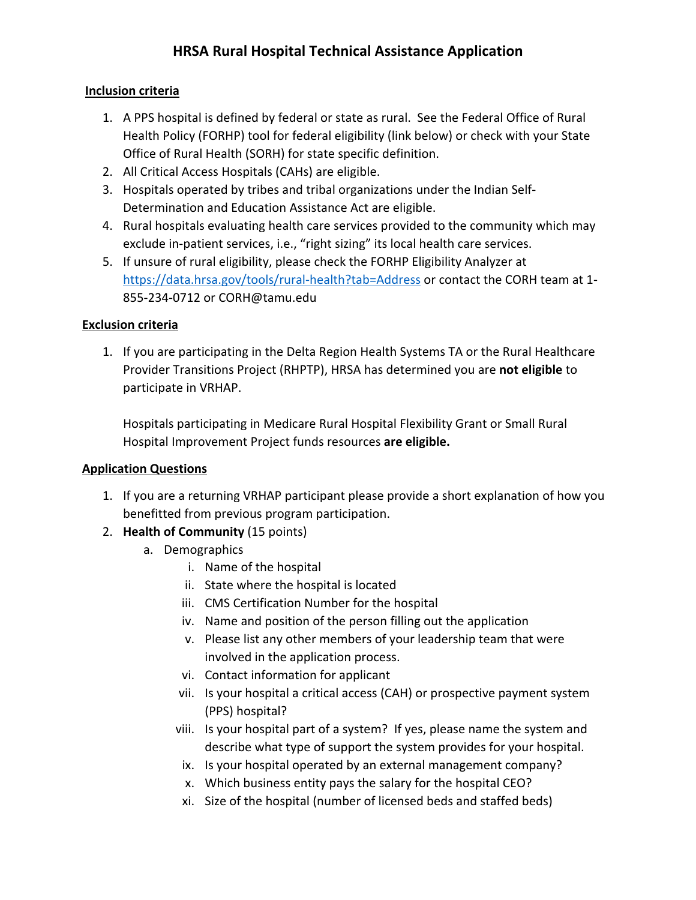# **HRSA Rural Hospital Technical Assistance Application**

### **Inclusion criteria**

- 1. A PPS hospital is defined by federal or state as rural. See the Federal Office of Rural Health Policy (FORHP) tool for federal eligibility (link below) or check with your State Office of Rural Health (SORH) for state specific definition.
- 2. All Critical Access Hospitals (CAHs) are eligible.
- 3. Hospitals operated by tribes and tribal organizations under the Indian Self-Determination and Education Assistance Act are eligible.
- 4. Rural hospitals evaluating health care services provided to the community which may exclude in-patient services, i.e., "right sizing" its local health care services.
- 5. If unsure of rural eligibility, please check the FORHP Eligibility Analyzer at https://data.hrsa.gov/tools/rural-health?tab=Address or contact the CORH team at 1- 855-234-0712 or CORH@tamu.edu

### **Exclusion criteria**

1. If you are participating in the Delta Region Health Systems TA or the Rural Healthcare Provider Transitions Project (RHPTP), HRSA has determined you are **not eligible** to participate in VRHAP.

Hospitals participating in Medicare Rural Hospital Flexibility Grant or Small Rural Hospital Improvement Project funds resources **are eligible.**

### **Application Questions**

- 1. If you are a returning VRHAP participant please provide a short explanation of how you benefitted from previous program participation.
- 2. **Health of Community** (15 points)
	- a. Demographics
		- i. Name of the hospital
		- ii. State where the hospital is located
		- iii. CMS Certification Number for the hospital
		- iv. Name and position of the person filling out the application
		- v. Please list any other members of your leadership team that were involved in the application process.
		- vi. Contact information for applicant
		- vii. Is your hospital a critical access (CAH) or prospective payment system (PPS) hospital?
		- viii. Is your hospital part of a system? If yes, please name the system and describe what type of support the system provides for your hospital.
		- ix. Is your hospital operated by an external management company?
		- x. Which business entity pays the salary for the hospital CEO?
		- xi. Size of the hospital (number of licensed beds and staffed beds)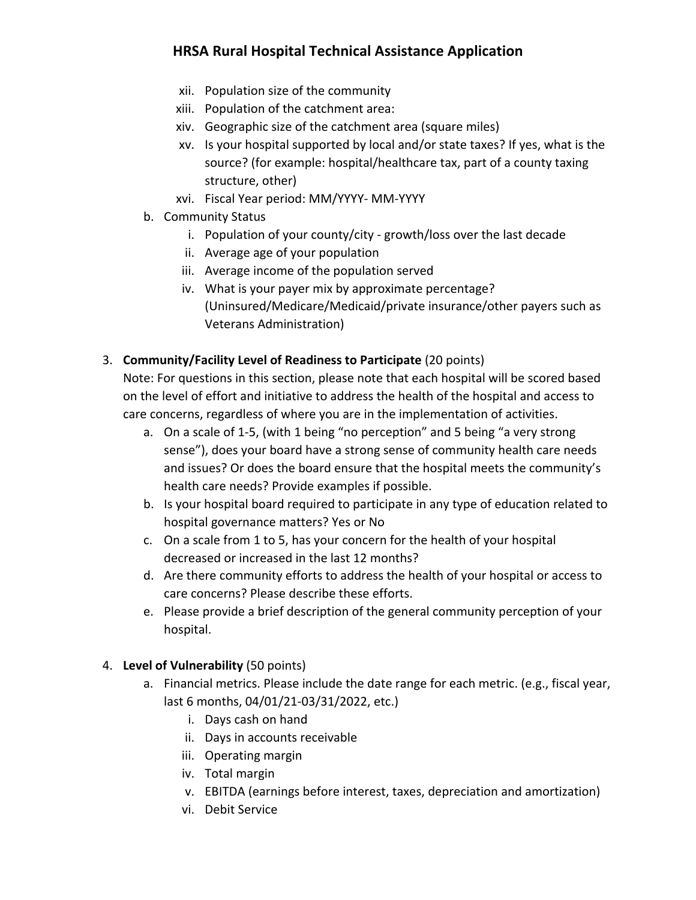# **HRSA Rural Hospital Technical Assistance Application**

- xii. Population size of the community
- xiii. Population of the catchment area:
- xiv. Geographic size of the catchment area (square miles)
- xv. Is your hospital supported by local and/or state taxes? If yes, what is the source? (for example: hospital/healthcare tax, part of a county taxing structure, other)
- xvi. Fiscal Year period: MM/YYYY- MM-YYYY
- b. Community Status
	- i. Population of your county/city growth/loss over the last decade
	- ii. Average age of your population
	- iii. Average income of the population served
	- iv. What is your payer mix by approximate percentage? (Uninsured/Medicare/Medicaid/private insurance/other payers such as Veterans Administration)

## 3. **Community/Facility Level of Readiness to Participate** (20 points)

Note: For questions in this section, please note that each hospital will be scored based on the level of effort and initiative to address the health of the hospital and access to care concerns, regardless of where you are in the implementation of activities.

- a. On a scale of 1-5, (with 1 being "no perception" and 5 being "a very strong sense"), does your board have a strong sense of community health care needs and issues? Or does the board ensure that the hospital meets the community's health care needs? Provide examples if possible.
- b. Is your hospital board required to participate in any type of education related to hospital governance matters? Yes or No
- c. On a scale from 1 to 5, has your concern for the health of your hospital decreased or increased in the last 12 months?
- d. Are there community efforts to address the health of your hospital or access to care concerns? Please describe these efforts.
- e. Please provide a brief description of the general community perception of your hospital.

## 4. **Level of Vulnerability** (50 points)

- a. Financial metrics. Please include the date range for each metric. (e.g., fiscal year, last 6 months, 04/01/21-03/31/2022, etc.)
	- i. Days cash on hand
	- ii. Days in accounts receivable
	- iii. Operating margin
	- iv. Total margin
	- v. EBITDA (earnings before interest, taxes, depreciation and amortization)
	- vi. Debit Service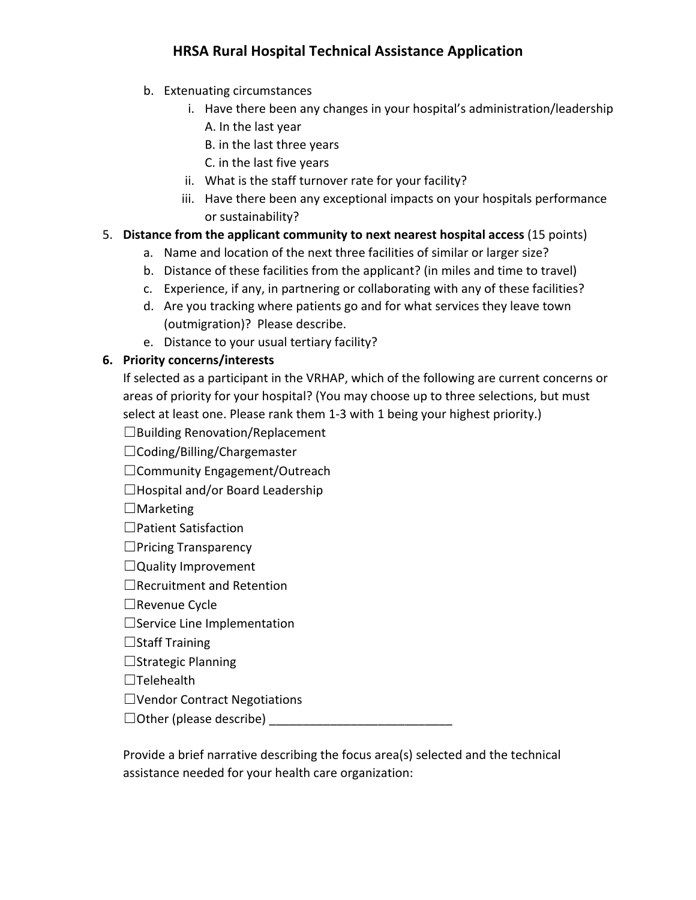# **HRSA Rural Hospital Technical Assistance Application**

- b. Extenuating circumstances
	- i. Have there been any changes in your hospital's administration/leadership A. In the last year
		- B. in the last three years
		- C. in the last five years
	- ii. What is the staff turnover rate for your facility?
	- iii. Have there been any exceptional impacts on your hospitals performance or sustainability?

## 5. **Distance from the applicant community to next nearest hospital access** (15 points)

- a. Name and location of the next three facilities of similar or larger size?
- b. Distance of these facilities from the applicant? (in miles and time to travel)
- c. Experience, if any, in partnering or collaborating with any of these facilities?
- d. Are you tracking where patients go and for what services they leave town (outmigration)? Please describe.
- e. Distance to your usual tertiary facility?

## **6. Priority concerns/interests**

If selected as a participant in the VRHAP, which of the following are current concerns or areas of priority for your hospital? (You may choose up to three selections, but must select at least one. Please rank them 1-3 with 1 being your highest priority.)

☐Building Renovation/Replacement

☐Coding/Billing/Chargemaster

☐Community Engagement/Outreach

☐Hospital and/or Board Leadership

 $\Box$ Marketing

☐Patient Satisfaction

☐Pricing Transparency

□ Quality Improvement

□Recruitment and Retention

☐Revenue Cycle

 $\Box$ Service Line Implementation

 $\Box$ Staff Training

☐Strategic Planning

☐Telehealth

☐Vendor Contract Negotiations

☐Other (please describe) \_\_\_\_\_\_\_\_\_\_\_\_\_\_\_\_\_\_\_\_\_\_\_\_\_\_\_

Provide a brief narrative describing the focus area(s) selected and the technical assistance needed for your health care organization: